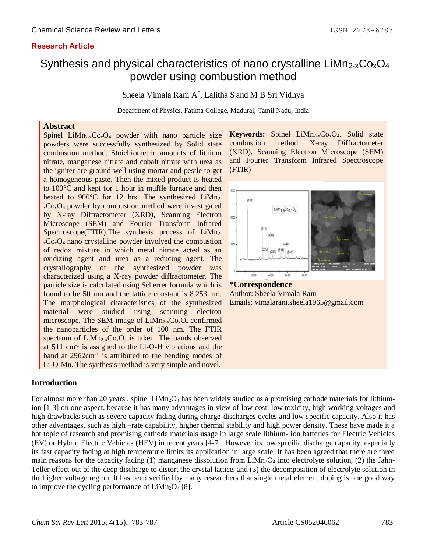## **Research Article**

# Synthesis and physical characteristics of nano crystalline LiMn<sub>2-x</sub>Co<sub>x</sub>O<sub>4</sub> powder using combustion method

Sheela Vimala Rani A \* , Lalitha S and M B Sri Vidhya

Department of Physics, Fatima College, Madurai, Tamil Nadu, India

## **Abstract**

Spinel  $LiMn<sub>2-x</sub>Co<sub>x</sub>O<sub>4</sub>$  powder with nano particle size powders were successfully synthesized by Solid state combustion method. Stoichiometric amounts of lithium nitrate, manganese nitrate and cobalt nitrate with urea as the igniter are ground well using mortar and pestle to get a homogeneous paste. Then the mixed product is heated to 100°C and kept for 1 hour in muffle furnace and then heated to 900 $\degree$ C for 12 hrs. The synthesized LiMn<sub>2</sub>- $_{x}Co_{x}O_{4}$  powder by combustion method were investigated by X-ray Diffractometer (XRD), Scanning Electron Microscope (SEM) and Fourier Transform Infrared Spectroscope(FTIR).The synthesis process of  $LiMn<sub>2</sub>$  $_{x}Co_{x}O_{4}$  nano crystalline powder involved the combustion of redox mixture in which metal nitrate acted as an oxidizing agent and urea as a reducing agent. The crystallography of the synthesized powder was characterized using a X-ray powder diffractometer. The particle size is calculated using Scherrer formula which is found to be 50 nm and the lattice constant is 8.253 nm. The morphological characteristics of the synthesized material were studied using scanning electron microscope. The SEM image of  $LiMn_{2-x}Co_xO_4$  confirmed the nanoparticles of the order of 100 nm. The FTIR spectrum of  $Lim_{2-x}Co_xO_4$  is taken. The bands observed at  $511 \text{ cm}^{-1}$  is assigned to the Li-O-H vibrations and the band at  $2962 \text{cm}^{-1}$  is attributed to the bending modes of Li-O-Mn. The synthesis method is very simple and novel.

Keywords: Spinel LiMn<sub>2-x</sub>Co<sub>x</sub>O<sub>4</sub>, Solid state combustion method, X-ray Diffractometer (XRD), Scanning Electron Microscope (SEM) and Fourier Transform Infrared Spectroscope (FTIR)



**\*Correspondence** Author: Sheela Vimala Rani Emails: vimalarani.sheela1965@gmail.com

#### **Introduction**

For almost more than 20 years, spinel  $LiMn<sub>2</sub>O<sub>4</sub>$  has been widely studied as a promising cathode materials for lithiumion [1-3] on one aspect, because it has many advantages in view of low cost, low toxicity, high working voltages and high drawbacks such as severe capacity fading during charge-discharges cycles and low specific capacity. Also it has other advantages, such as high –rate capability, higher thermal stability and high power density. These have made it a hot topic of research and promising cathode materials usage in large scale lithium- ion batteries for Electric Vehicles (EV) or Hybrid Electric Vehicles (HEV) in recent years [4-7]. However its low specific discharge capacity, especially its fast capacity fading at high temperature limits its application in large scale. It has been agreed that there are three main reasons for the capacity fading (1) manganese dissolution from  $Lim<sub>2</sub>O<sub>4</sub>$  into electrolyte solution, (2) the Jahn-Teller effect out of the deep discharge to distort the crystal lattice, and (3) the decomposition of electrolyte solution in the higher voltage region. It has been verified by many researchers that single metal element doping is one good way to improve the cycling performance of  $LiMn<sub>2</sub>O<sub>4</sub>$  [8].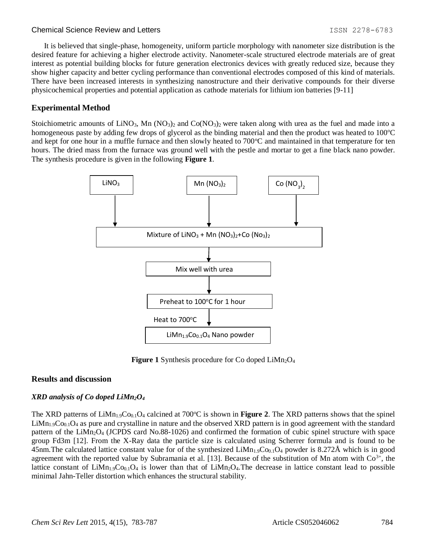#### Chemical Science Review and Letters **ISSN 2278-6783** 1SSN 2278-6783

It is believed that single-phase, homogeneity, uniform particle morphology with nanometer size distribution is the desired feature for achieving a higher electrode activity. Nanometer-scale structured electrode materials are of great interest as potential building blocks for future generation electronics devices with greatly reduced size, because they show higher capacity and better cycling performance than conventional electrodes composed of this kind of materials. There have been increased interests in synthesizing nanostructure and their derivative compounds for their diverse physicochemical properties and potential application as cathode materials for lithium ion batteries [9-11]

#### **Experimental Method**

Stoichiometric amounts of LiNO<sub>3</sub>, Mn (NO<sub>3</sub>)<sub>2</sub> and Co(NO<sub>3</sub>)<sub>2</sub> were taken along with urea as the fuel and made into a homogeneous paste by adding few drops of glycerol as the binding material and then the product was heated to  $100^{\circ}$ C and kept for one hour in a muffle furnace and then slowly heated to  $700^{\circ}$ C and maintained in that temperature for ten hours. The dried mass from the furnace was ground well with the pestle and mortar to get a fine black nano powder. The synthesis procedure is given in the following **Figure 1**.



Figure 1 Synthesis procedure for Co doped LiMn<sub>2</sub>O<sub>4</sub>

#### **Results and discussion**

#### *XRD analysis of Co doped LiMn2O<sup>4</sup>*

The XRD patterns of  $\text{Lim}_{1.9}\text{Co}_{0.1}\text{O}_4$  calcined at 700°C is shown in **Figure 2**. The XRD patterns shows that the spinel  $Lim_{1.9}Co_{0.1}O_4$  as pure and crystalline in nature and the observed XRD pattern is in good agreement with the standard pattern of the LiMn2O<sup>4</sup> (JCPDS card No.88-1026) and confirmed the formation of cubic spinel structure with space group Fd3m [12]. From the X-Ray data the particle size is calculated using Scherrer formula and is found to be 45nm. The calculated lattice constant value for of the synthesized  $Lim_{1.9}Co_{0.1}O_4$  powder is 8.272Å which is in good agreement with the reported value by Subramania et al. [13]. Because of the substitution of Mn atom with  $Co<sup>3+</sup>$ , the lattice constant of LiMn<sub>1.9</sub>Co<sub>0.1</sub>O<sub>4</sub> is lower than that of LiMn<sub>2</sub>O<sub>4</sub>. The decrease in lattice constant lead to possible minimal Jahn-Teller distortion which enhances the structural stability.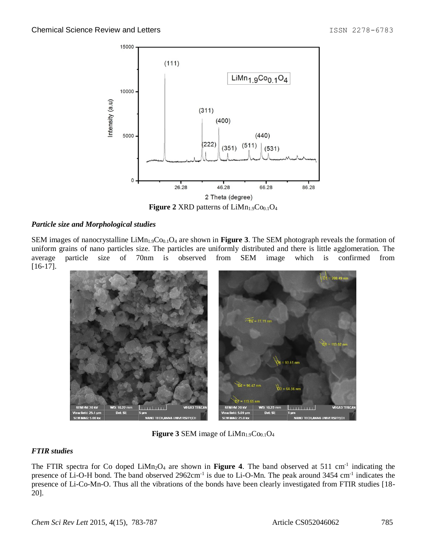

**Figure 2 XRD** patterns of LiMn<sub>1.9</sub>Co<sub>0.1</sub>O<sub>4</sub>

### *Particle size and Morphological studies*

SEM images of nanocrystalline LiMn<sub>1.9</sub>Co<sub>0.1</sub>O<sub>4</sub> are shown in **Figure 3**. The SEM photograph reveals the formation of uniform grains of nano particles size. The particles are uniformly distributed and there is little agglomeration. The average particle size of 70nm is observed from SEM image which is confirmed from [16-17].



**Figure 3 SEM** image of  $LiMn<sub>1.9</sub>Co<sub>0.1</sub>O<sub>4</sub>$ 

## *FTIR studies*

The FTIR spectra for Co doped LiMn<sub>2</sub>O<sub>4</sub> are shown in **Figure 4**. The band observed at 511 cm<sup>-1</sup> indicating the presence of Li-O-H bond. The band observed 2962cm<sup>-1</sup> is due to Li-O-Mn. The peak around 3454 cm<sup>-1</sup> indicates the presence of Li-Co-Mn-O. Thus all the vibrations of the bonds have been clearly investigated from FTIR studies [18- 20].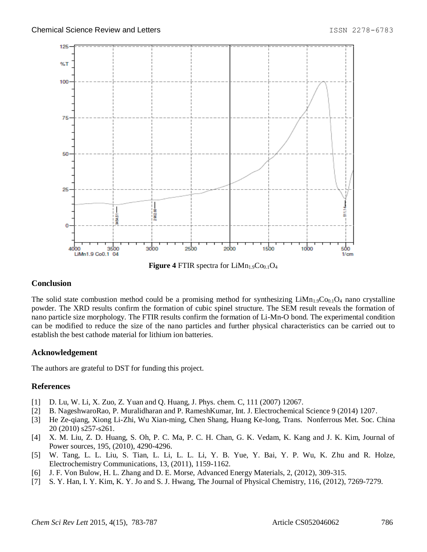

**Figure 4 FTIR spectra for**  $LiMn<sub>1.9</sub>Co<sub>0.1</sub>O<sub>4</sub>$ 

#### **Conclusion**

The solid state combustion method could be a promising method for synthesizing  $Limn<sub>1.9</sub>Co<sub>0.1</sub>O<sub>4</sub>$  nano crystalline powder. The XRD results confirm the formation of cubic spinel structure. The SEM result reveals the formation of nano particle size morphology. The FTIR results confirm the formation of Li-Mn-O bond. The experimental condition can be modified to reduce the size of the nano particles and further physical characteristics can be carried out to establish the best cathode material for lithium ion batteries.

#### **Acknowledgement**

The authors are grateful to DST for funding this project.

#### **References**

- [1] D. Lu, W. Li, X. Zuo, Z. Yuan and Q. Huang, J. Phys. chem. C, 111 (2007) 12067.
- [2] B. NageshwaroRao, P. Muralidharan and P. RameshKumar, Int. J. Electrochemical Science 9 (2014) 1207.
- [3] He Ze-qiang, Xiong Li-Zhi, Wu Xian-ming, Chen Shang, Huang Ke-long, Trans. Nonferrous Met. Soc. China 20 (2010) s257-s261.
- [4] X. M. Liu, Z. D. Huang, S. Oh, P. C. Ma, P. C. H. Chan, G. K. Vedam, K. Kang and J. K. Kim, Journal of Power sources, 195, (2010), 4290-4296.
- [5] W. Tang, L. L. Liu, S. Tian, L. Li, L. L. Li, Y. B. Yue, Y. Bai, Y. P. Wu, K. Zhu and R. Holze, Electrochemistry Communications, 13, (2011), 1159-1162.
- [6] J. F. Von Bulow, H. L. Zhang and D. E. Morse, Advanced Energy Materials, 2, (2012), 309-315.
- [7] S. Y. Han, I. Y. Kim, K. Y. Jo and S. J. Hwang, The Journal of Physical Chemistry, 116, (2012), 7269-7279.